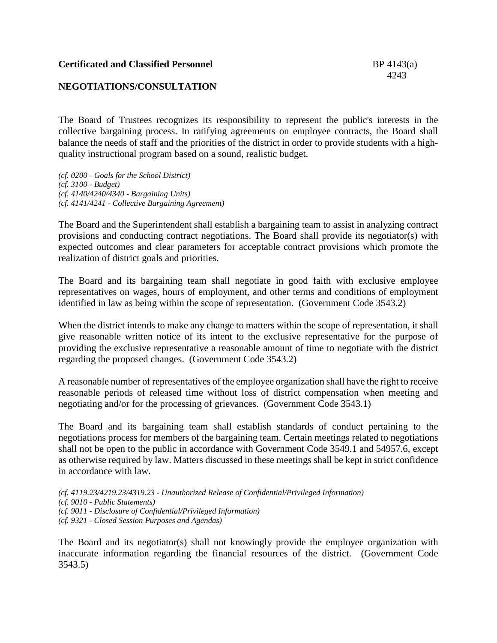## **NEGOTIATIONS/CONSULTATION**

The Board of Trustees recognizes its responsibility to represent the public's interests in the collective bargaining process. In ratifying agreements on employee contracts, the Board shall balance the needs of staff and the priorities of the district in order to provide students with a highquality instructional program based on a sound, realistic budget.

*(cf. 0200 - Goals for the School District) (cf. 3100 - Budget) (cf. 4140/4240/4340 - Bargaining Units) (cf. 4141/4241 - Collective Bargaining Agreement)*

The Board and the Superintendent shall establish a bargaining team to assist in analyzing contract provisions and conducting contract negotiations. The Board shall provide its negotiator(s) with expected outcomes and clear parameters for acceptable contract provisions which promote the realization of district goals and priorities.

The Board and its bargaining team shall negotiate in good faith with exclusive employee representatives on wages, hours of employment, and other terms and conditions of employment identified in law as being within the scope of representation. (Government Code 3543.2)

When the district intends to make any change to matters within the scope of representation, it shall give reasonable written notice of its intent to the exclusive representative for the purpose of providing the exclusive representative a reasonable amount of time to negotiate with the district regarding the proposed changes. (Government Code 3543.2)

A reasonable number of representatives of the employee organization shall have the right to receive reasonable periods of released time without loss of district compensation when meeting and negotiating and/or for the processing of grievances. (Government Code 3543.1)

The Board and its bargaining team shall establish standards of conduct pertaining to the negotiations process for members of the bargaining team. Certain meetings related to negotiations shall not be open to the public in accordance with Government Code 3549.1 and 54957.6, except as otherwise required by law. Matters discussed in these meetings shall be kept in strict confidence in accordance with law.

*(cf. 4119.23/4219.23/4319.23 - Unauthorized Release of Confidential/Privileged Information) (cf. 9010 - Public Statements) (cf. 9011 - Disclosure of Confidential/Privileged Information) (cf. 9321 - Closed Session Purposes and Agendas)*

The Board and its negotiator(s) shall not knowingly provide the employee organization with inaccurate information regarding the financial resources of the district. (Government Code 3543.5)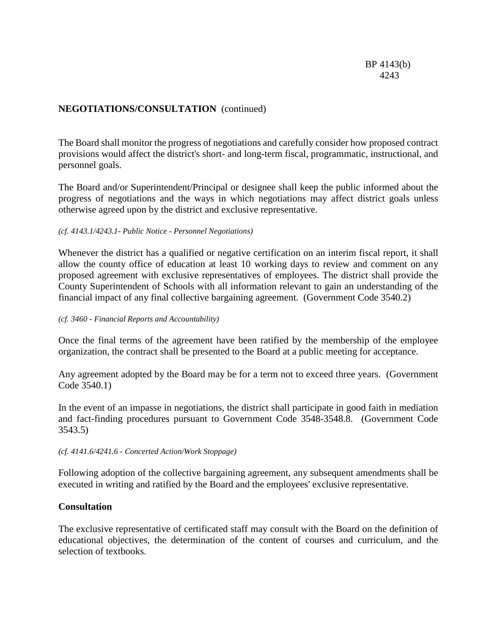# **NEGOTIATIONS/CONSULTATION** (continued)

The Board shall monitor the progress of negotiations and carefully consider how proposed contract provisions would affect the district's short- and long-term fiscal, programmatic, instructional, and personnel goals.

The Board and/or Superintendent/Principal or designee shall keep the public informed about the progress of negotiations and the ways in which negotiations may affect district goals unless otherwise agreed upon by the district and exclusive representative.

#### *(cf. 4143.1/4243.1- Public Notice - Personnel Negotiations)*

Whenever the district has a qualified or negative certification on an interim fiscal report, it shall allow the county office of education at least 10 working days to review and comment on any proposed agreement with exclusive representatives of employees. The district shall provide the County Superintendent of Schools with all information relevant to gain an understanding of the financial impact of any final collective bargaining agreement. (Government Code 3540.2)

#### *(cf. 3460 - Financial Reports and Accountability)*

Once the final terms of the agreement have been ratified by the membership of the employee organization, the contract shall be presented to the Board at a public meeting for acceptance.

Any agreement adopted by the Board may be for a term not to exceed three years. (Government Code 3540.1)

In the event of an impasse in negotiations, the district shall participate in good faith in mediation and fact-finding procedures pursuant to Government Code 3548-3548.8. (Government Code 3543.5)

*(cf. 4141.6/4241.6 - Concerted Action/Work Stoppage)*

Following adoption of the collective bargaining agreement, any subsequent amendments shall be executed in writing and ratified by the Board and the employees' exclusive representative.

### **Consultation**

The exclusive representative of certificated staff may consult with the Board on the definition of educational objectives, the determination of the content of courses and curriculum, and the selection of textbooks.